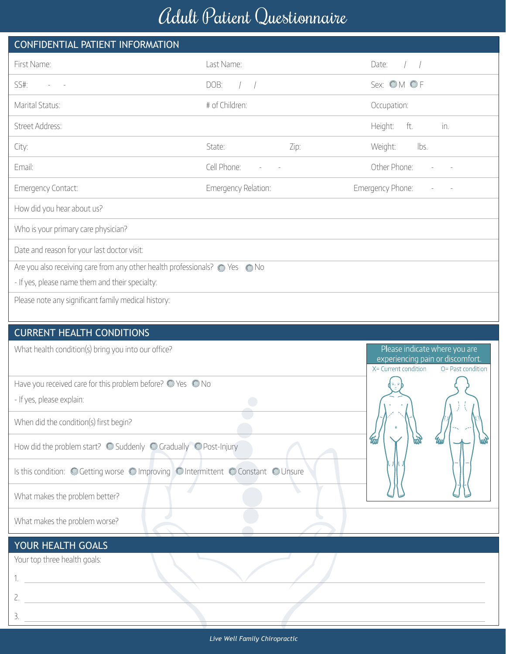## Adult Patient Questionnaire

| CONFIDENTIAL PATIENT INFORMATION                                             |                                |      |                                                                                                                |  |  |  |  |  |
|------------------------------------------------------------------------------|--------------------------------|------|----------------------------------------------------------------------------------------------------------------|--|--|--|--|--|
| First Name:                                                                  | Last Name:                     |      | Date:                                                                                                          |  |  |  |  |  |
| SS#:                                                                         | DOB:<br>$\left  \quad \right $ |      | Sex: OM OF                                                                                                     |  |  |  |  |  |
| Marital Status:                                                              | # of Children:                 |      | Occupation:                                                                                                    |  |  |  |  |  |
| Street Address:                                                              |                                |      | Height:<br>ft.<br>in.                                                                                          |  |  |  |  |  |
| City:                                                                        | State:                         | Zip: | Weight:<br>lbs.                                                                                                |  |  |  |  |  |
| Email:                                                                       | Cell Phone:                    |      | Other Phone:                                                                                                   |  |  |  |  |  |
| <b>Emergency Contact:</b>                                                    | Emergency Relation:            |      | Emergency Phone:                                                                                               |  |  |  |  |  |
| How did you hear about us?                                                   |                                |      |                                                                                                                |  |  |  |  |  |
| Who is your primary care physician?                                          |                                |      |                                                                                                                |  |  |  |  |  |
| Date and reason for your last doctor visit:                                  |                                |      |                                                                                                                |  |  |  |  |  |
| Are you also receiving care from any other health professionals? © Yes © No  |                                |      |                                                                                                                |  |  |  |  |  |
| - If yes, please name them and their specialty:                              |                                |      |                                                                                                                |  |  |  |  |  |
| Please note any significant family medical history:                          |                                |      |                                                                                                                |  |  |  |  |  |
| <b>CURRENT HEALTH CONDITIONS</b>                                             |                                |      |                                                                                                                |  |  |  |  |  |
| What health condition(s) bring you into our office?                          |                                |      | Please indicate where you are<br>experiencing pain or discomfort.<br>X= Current condition<br>O= Past condition |  |  |  |  |  |
| Have you received care for this problem before? $\bigcirc$ Yes $\bigcirc$ No |                                |      | վ=ւ=}                                                                                                          |  |  |  |  |  |

- If yes, please explain:

When did the condition(s) first begin?

How did the problem start?  $\bigcirc$  Suddenly  $\bigcirc$  Gradually  $\bigcirc$  Post-Injury

Is this condition: O Getting worse O Improving O Intermittent O Constant O Unsure

What makes the problem better?

What makes the problem worse?

## YOUR HEALTH GOALS

Your top three health goals:

1.

2.

3.

 $\Box$